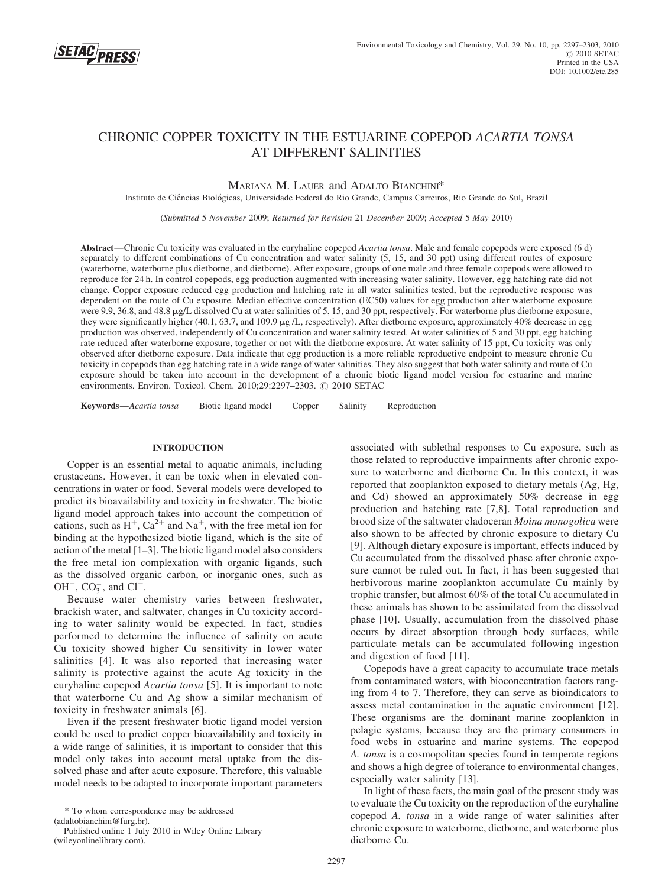

# CHRONIC COPPER TOXICITY IN THE ESTUARINE COPEPOD ACARTIA TONSA AT DIFFERENT SALINITIES

MARIANA M. LAUER and ADALTO BIANCHINI\*

Instituto de Ciências Biológicas, Universidade Federal do Rio Grande, Campus Carreiros, Rio Grande do Sul, Brazil

(Submitted 5 November 2009; Returned for Revision 21 December 2009; Accepted 5 May 2010)

Abstract—Chronic Cu toxicity was evaluated in the euryhaline copepod Acartia tonsa. Male and female copepods were exposed (6 d) separately to different combinations of Cu concentration and water salinity (5, 15, and 30 ppt) using different routes of exposure (waterborne, waterborne plus dietborne, and dietborne). After exposure, groups of one male and three female copepods were allowed to reproduce for 24 h. In control copepods, egg production augmented with increasing water salinity. However, egg hatching rate did not change. Copper exposure reduced egg production and hatching rate in all water salinities tested, but the reproductive response was dependent on the route of Cu exposure. Median effective concentration (EC50) values for egg production after waterborne exposure were 9.9, 36.8, and 48.8  $\mu$ g/L dissolved Cu at water salinities of 5, 15, and 30 ppt, respectively. For waterborne plus dietborne exposure, they were significantly higher (40.1, 63.7, and 109.9  $\mu$ g/L, respectively). After dietborne exposure, approximately 40% decrease in egg production was observed, independently of Cu concentration and water salinity tested. At water salinities of 5 and 30 ppt, egg hatching rate reduced after waterborne exposure, together or not with the dietborne exposure. At water salinity of 15 ppt, Cu toxicity was only observed after dietborne exposure. Data indicate that egg production is a more reliable reproductive endpoint to measure chronic Cu toxicity in copepods than egg hatching rate in a wide range of water salinities. They also suggest that both water salinity and route of Cu exposure should be taken into account in the development of a chronic biotic ligand model version for estuarine and marine environments. Environ. Toxicol. Chem. 2010;29:2297-2303. © 2010 SETAC

Keywords—Acartia tonsa Biotic ligand model Copper Salinity Reproduction

## INTRODUCTION

Copper is an essential metal to aquatic animals, including crustaceans. However, it can be toxic when in elevated concentrations in water or food. Several models were developed to predict its bioavailability and toxicity in freshwater. The biotic ligand model approach takes into account the competition of cations, such as  $H^+$ , Ca<sup>2+</sup> and Na<sup>+</sup>, with the free metal ion for binding at the hypothesized biotic ligand, which is the site of action of the metal [1–3]. The biotic ligand model also considers the free metal ion complexation with organic ligands, such as the dissolved organic carbon, or inorganic ones, such as  $OH^-$ ,  $CO_3^-$ , and  $Cl^-$ .

Because water chemistry varies between freshwater, brackish water, and saltwater, changes in Cu toxicity according to water salinity would be expected. In fact, studies performed to determine the influence of salinity on acute Cu toxicity showed higher Cu sensitivity in lower water salinities [4]. It was also reported that increasing water salinity is protective against the acute Ag toxicity in the euryhaline copepod Acartia tonsa [5]. It is important to note that waterborne Cu and Ag show a similar mechanism of toxicity in freshwater animals [6].

Even if the present freshwater biotic ligand model version could be used to predict copper bioavailability and toxicity in a wide range of salinities, it is important to consider that this model only takes into account metal uptake from the dissolved phase and after acute exposure. Therefore, this valuable model needs to be adapted to incorporate important parameters

associated with sublethal responses to Cu exposure, such as those related to reproductive impairments after chronic exposure to waterborne and dietborne Cu. In this context, it was reported that zooplankton exposed to dietary metals (Ag, Hg, and Cd) showed an approximately 50% decrease in egg production and hatching rate [7,8]. Total reproduction and brood size of the saltwater cladoceran Moina monogolica were also shown to be affected by chronic exposure to dietary Cu [9]. Although dietary exposure is important, effects induced by Cu accumulated from the dissolved phase after chronic exposure cannot be ruled out. In fact, it has been suggested that herbivorous marine zooplankton accumulate Cu mainly by trophic transfer, but almost 60% of the total Cu accumulated in these animals has shown to be assimilated from the dissolved phase [10]. Usually, accumulation from the dissolved phase occurs by direct absorption through body surfaces, while particulate metals can be accumulated following ingestion and digestion of food [11].

Copepods have a great capacity to accumulate trace metals from contaminated waters, with bioconcentration factors ranging from 4 to 7. Therefore, they can serve as bioindicators to assess metal contamination in the aquatic environment [12]. These organisms are the dominant marine zooplankton in pelagic systems, because they are the primary consumers in food webs in estuarine and marine systems. The copepod A. tonsa is a cosmopolitan species found in temperate regions and shows a high degree of tolerance to environmental changes, especially water salinity [13].

In light of these facts, the main goal of the present study was to evaluate the Cu toxicity on the reproduction of the euryhaline copepod A. tonsa in a wide range of water salinities after chronic exposure to waterborne, dietborne, and waterborne plus dietborne Cu.

<sup>\*</sup> To whom correspondence may be addressed

<sup>(</sup>adaltobianchini@furg.br).

Published online 1 July 2010 in Wiley Online Library (wileyonlinelibrary.com).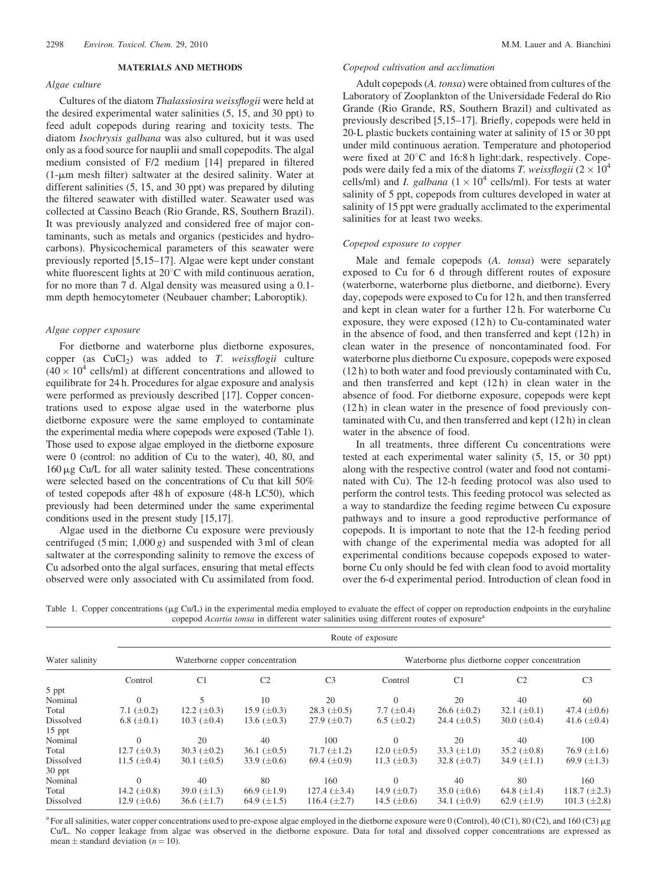## MATERIALS AND METHODS

## Algae culture

Cultures of the diatom Thalassiosira weissflogii were held at the desired experimental water salinities (5, 15, and 30 ppt) to feed adult copepods during rearing and toxicity tests. The diatom Isochrysis galbana was also cultured, but it was used only as a food source for nauplii and small copepodits. The algal medium consisted of F/2 medium [14] prepared in filtered  $(1-\mu m$  mesh filter) saltwater at the desired salinity. Water at different salinities (5, 15, and 30 ppt) was prepared by diluting the filtered seawater with distilled water. Seawater used was collected at Cassino Beach (Rio Grande, RS, Southern Brazil). It was previously analyzed and considered free of major contaminants, such as metals and organics (pesticides and hydrocarbons). Physicochemical parameters of this seawater were previously reported [5,15–17]. Algae were kept under constant white fluorescent lights at  $20^{\circ}$ C with mild continuous aeration, for no more than 7 d. Algal density was measured using a 0.1 mm depth hemocytometer (Neubauer chamber; Laboroptik).

### Algae copper exposure

For dietborne and waterborne plus dietborne exposures, copper (as  $CuCl<sub>2</sub>$ ) was added to T. weissflogii culture  $(40 \times 10^4 \text{ cells/ml})$  at different concentrations and allowed to equilibrate for 24 h. Procedures for algae exposure and analysis were performed as previously described [17]. Copper concentrations used to expose algae used in the waterborne plus dietborne exposure were the same employed to contaminate the experimental media where copepods were exposed (Table 1). Those used to expose algae employed in the dietborne exposure were 0 (control: no addition of Cu to the water), 40, 80, and  $160 \mu$ g Cu/L for all water salinity tested. These concentrations were selected based on the concentrations of Cu that kill 50% of tested copepods after 48 h of exposure (48-h LC50), which previously had been determined under the same experimental conditions used in the present study [15,17].

Algae used in the dietborne Cu exposure were previously centrifuged (5 min;  $1,000 g$ ) and suspended with 3 ml of clean saltwater at the corresponding salinity to remove the excess of Cu adsorbed onto the algal surfaces, ensuring that metal effects observed were only associated with Cu assimilated from food.

## Copepod cultivation and acclimation

Adult copepods (A. tonsa) were obtained from cultures of the Laboratory of Zooplankton of the Universidade Federal do Rio Grande (Rio Grande, RS, Southern Brazil) and cultivated as previously described [5,15–17]. Briefly, copepods were held in 20-L plastic buckets containing water at salinity of 15 or 30 ppt under mild continuous aeration. Temperature and photoperiod were fixed at  $20^{\circ}$ C and 16:8 h light:dark, respectively. Copepods were daily fed a mix of the diatoms T. weissflogii  $(2 \times 10^4$ cells/ml) and *I. galbana*  $(1 \times 10^4 \text{ cells/ml})$ . For tests at water salinity of 5 ppt, copepods from cultures developed in water at salinity of 15 ppt were gradually acclimated to the experimental salinities for at least two weeks.

#### Copepod exposure to copper

Male and female copepods (A. tonsa) were separately exposed to Cu for 6 d through different routes of exposure (waterborne, waterborne plus dietborne, and dietborne). Every day, copepods were exposed to Cu for 12 h, and then transferred and kept in clean water for a further 12 h. For waterborne Cu exposure, they were exposed (12 h) to Cu-contaminated water in the absence of food, and then transferred and kept (12 h) in clean water in the presence of noncontaminated food. For waterborne plus dietborne Cu exposure, copepods were exposed (12 h) to both water and food previously contaminated with Cu, and then transferred and kept (12 h) in clean water in the absence of food. For dietborne exposure, copepods were kept (12 h) in clean water in the presence of food previously contaminated with Cu, and then transferred and kept (12 h) in clean water in the absence of food.

In all treatments, three different Cu concentrations were tested at each experimental water salinity (5, 15, or 30 ppt) along with the respective control (water and food not contaminated with Cu). The 12-h feeding protocol was also used to perform the control tests. This feeding protocol was selected as a way to standardize the feeding regime between Cu exposure pathways and to insure a good reproductive performance of copepods. It is important to note that the 12-h feeding period with change of the experimental media was adopted for all experimental conditions because copepods exposed to waterborne Cu only should be fed with clean food to avoid mortality over the 6-d experimental period. Introduction of clean food in

Table 1. Copper concentrations ( $\mu$ g Cu/L) in the experimental media employed to evaluate the effect of copper on reproduction endpoints in the euryhaline copepod Acartia tonsa in different water salinities using different routes of exposure<sup>a</sup>

| Water salinity | Route of exposure               |                  |                  |                   |                                                |                  |                  |                   |  |
|----------------|---------------------------------|------------------|------------------|-------------------|------------------------------------------------|------------------|------------------|-------------------|--|
|                | Waterborne copper concentration |                  |                  |                   | Waterborne plus dietborne copper concentration |                  |                  |                   |  |
|                | Control                         | C <sub>1</sub>   | C <sub>2</sub>   | C <sub>3</sub>    | Control                                        | C <sub>1</sub>   | C <sub>2</sub>   | C <sub>3</sub>    |  |
| 5 ppt          |                                 |                  |                  |                   |                                                |                  |                  |                   |  |
| Nominal        | $\Omega$                        | 5                | 10               | 20                | $\Omega$                                       | 20               | 40               | 60                |  |
| Total          | 7.1 $(\pm 0.2)$                 | 12.2 $(\pm 0.3)$ | 15.9 $(\pm 0.3)$ | 28.3 $(\pm 0.5)$  | 7.7 $(\pm 0.4)$                                | $26.6~(\pm 0.2)$ | 32.1 $(\pm 0.1)$ | 47.4 $(\pm 0.6)$  |  |
| Dissolved      | 6.8 $(\pm 0.1)$                 | 10.3 $(\pm 0.4)$ | 13.6 $(\pm 0.3)$ | 27.9 $(\pm 0.7)$  | 6.5 $(\pm 0.2)$                                | 24.4 $(\pm 0.5)$ | 30.0 $(\pm 0.4)$ | 41.6 $(\pm 0.4)$  |  |
| $15$ ppt       |                                 |                  |                  |                   |                                                |                  |                  |                   |  |
| Nominal        | $\theta$                        | 20               | 40               | 100               | $\theta$                                       | 20               | 40               | 100               |  |
| Total          | 12.7 $(\pm 0.3)$                | 30.3 $(\pm 0.2)$ | 36.1 $(\pm 0.5)$ | 71.7 $(\pm 1.2)$  | 12.0 $(\pm 0.5)$                               | 33.3 $(\pm 1.0)$ | 35.2 $(\pm 0.8)$ | 76.9 $(\pm 1.6)$  |  |
| Dissolved      | 11.5 $(\pm 0.4)$                | 30.1 $(\pm 0.5)$ | 33.9 $(\pm 0.6)$ | 69.4 $(\pm 0.9)$  | 11.3 $(\pm 0.3)$                               | 32.8 $(\pm 0.7)$ | 34.9 $(\pm 1.1)$ | 69.9 $(\pm 1.3)$  |  |
| $30$ ppt       |                                 |                  |                  |                   |                                                |                  |                  |                   |  |
| Nominal        | $\Omega$                        | 40               | 80               | 160               | $\Omega$                                       | 40               | 80               | 160               |  |
| Total          | 14.2 $(\pm 0.8)$                | 39.0 $(\pm 1.3)$ | 66.9 $(\pm 1.9)$ | 127.4 $(\pm 3.4)$ | 14.9 $(\pm 0.7)$                               | 35.0 $(\pm 0.6)$ | 64.8 $(\pm 1.4)$ | 118.7 $(\pm 2.3)$ |  |
| Dissolved      | 12.9 $(\pm 0.6)$                | 36.6 $(\pm 1.7)$ | 64.9 $(\pm 1.5)$ | 116.4 $(\pm 2.7)$ | 14.5 $(\pm 0.6)$                               | 34.1 $(\pm 0.9)$ | 62.9 $(\pm 1.9)$ | 101.3 $(\pm 2.8)$ |  |

<sup>a</sup> For all salinities, water copper concentrations used to pre-expose algae employed in the dietborne exposure were 0 (Control), 40 (C1), 80 (C2), and 160 (C3)  $\mu$ g Cu/L. No copper leakage from algae was observed in the dietborne exposure. Data for total and dissolved copper concentrations are expressed as mean  $\pm$  standard deviation (*n* = 10).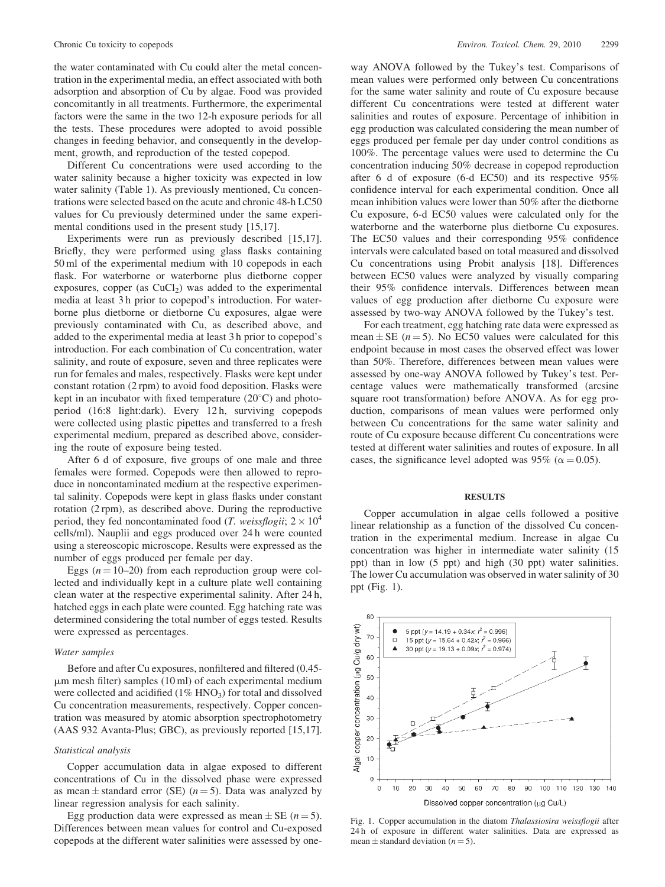the water contaminated with Cu could alter the metal concentration in the experimental media, an effect associated with both adsorption and absorption of Cu by algae. Food was provided concomitantly in all treatments. Furthermore, the experimental factors were the same in the two 12-h exposure periods for all the tests. These procedures were adopted to avoid possible changes in feeding behavior, and consequently in the development, growth, and reproduction of the tested copepod.

Different Cu concentrations were used according to the water salinity because a higher toxicity was expected in low water salinity (Table 1). As previously mentioned, Cu concentrations were selected based on the acute and chronic 48-h LC50 values for Cu previously determined under the same experimental conditions used in the present study [15,17].

Experiments were run as previously described [15,17]. Briefly, they were performed using glass flasks containing 50 ml of the experimental medium with 10 copepods in each flask. For waterborne or waterborne plus dietborne copper exposures, copper (as  $CuCl<sub>2</sub>$ ) was added to the experimental media at least 3 h prior to copepod's introduction. For waterborne plus dietborne or dietborne Cu exposures, algae were previously contaminated with Cu, as described above, and added to the experimental media at least 3 h prior to copepod's introduction. For each combination of Cu concentration, water salinity, and route of exposure, seven and three replicates were run for females and males, respectively. Flasks were kept under constant rotation (2 rpm) to avoid food deposition. Flasks were kept in an incubator with fixed temperature  $(20^{\circ}C)$  and photoperiod (16:8 light:dark). Every 12 h, surviving copepods were collected using plastic pipettes and transferred to a fresh experimental medium, prepared as described above, considering the route of exposure being tested.

After 6 d of exposure, five groups of one male and three females were formed. Copepods were then allowed to reproduce in noncontaminated medium at the respective experimental salinity. Copepods were kept in glass flasks under constant rotation (2 rpm), as described above. During the reproductive period, they fed noncontaminated food (*T. weissflogii*;  $2 \times 10^4$ cells/ml). Nauplii and eggs produced over 24 h were counted using a stereoscopic microscope. Results were expressed as the number of eggs produced per female per day.

Eggs  $(n = 10-20)$  from each reproduction group were collected and individually kept in a culture plate well containing clean water at the respective experimental salinity. After 24 h, hatched eggs in each plate were counted. Egg hatching rate was determined considering the total number of eggs tested. Results were expressed as percentages.

## Water samples

Before and after Cu exposures, nonfiltered and filtered (0.45-  $\mu$ m mesh filter) samples (10 ml) of each experimental medium were collected and acidified  $(1\%$  HNO<sub>3</sub>) for total and dissolved Cu concentration measurements, respectively. Copper concentration was measured by atomic absorption spectrophotometry (AAS 932 Avanta-Plus; GBC), as previously reported [15,17].

## Statistical analysis

Copper accumulation data in algae exposed to different concentrations of Cu in the dissolved phase were expressed as mean  $\pm$  standard error (SE) ( $n = 5$ ). Data was analyzed by linear regression analysis for each salinity.

Egg production data were expressed as mean  $\pm$  SE (*n* = 5). Differences between mean values for control and Cu-exposed copepods at the different water salinities were assessed by oneway ANOVA followed by the Tukey's test. Comparisons of mean values were performed only between Cu concentrations for the same water salinity and route of Cu exposure because different Cu concentrations were tested at different water salinities and routes of exposure. Percentage of inhibition in egg production was calculated considering the mean number of eggs produced per female per day under control conditions as 100%. The percentage values were used to determine the Cu concentration inducing 50% decrease in copepod reproduction after 6 d of exposure (6-d EC50) and its respective 95% confidence interval for each experimental condition. Once all mean inhibition values were lower than 50% after the dietborne Cu exposure, 6-d EC50 values were calculated only for the waterborne and the waterborne plus dietborne Cu exposures. The EC50 values and their corresponding 95% confidence intervals were calculated based on total measured and dissolved Cu concentrations using Probit analysis [18]. Differences between EC50 values were analyzed by visually comparing their 95% confidence intervals. Differences between mean values of egg production after dietborne Cu exposure were assessed by two-way ANOVA followed by the Tukey's test.

For each treatment, egg hatching rate data were expressed as mean  $\pm$  SE (*n* = 5). No EC50 values were calculated for this endpoint because in most cases the observed effect was lower than 50%. Therefore, differences between mean values were assessed by one-way ANOVA followed by Tukey's test. Percentage values were mathematically transformed (arcsine square root transformation) before ANOVA. As for egg production, comparisons of mean values were performed only between Cu concentrations for the same water salinity and route of Cu exposure because different Cu concentrations were tested at different water salinities and routes of exposure. In all cases, the significance level adopted was 95% ( $\alpha$  = 0.05).

#### **RESULTS**

Copper accumulation in algae cells followed a positive linear relationship as a function of the dissolved Cu concentration in the experimental medium. Increase in algae Cu concentration was higher in intermediate water salinity (15 ppt) than in low (5 ppt) and high (30 ppt) water salinities. The lower Cu accumulation was observed in water salinity of 30 ppt (Fig. 1).



Fig. 1. Copper accumulation in the diatom Thalassiosira weissflogii after 24 h of exposure in different water salinities. Data are expressed as mean  $\pm$  standard deviation (*n* = 5).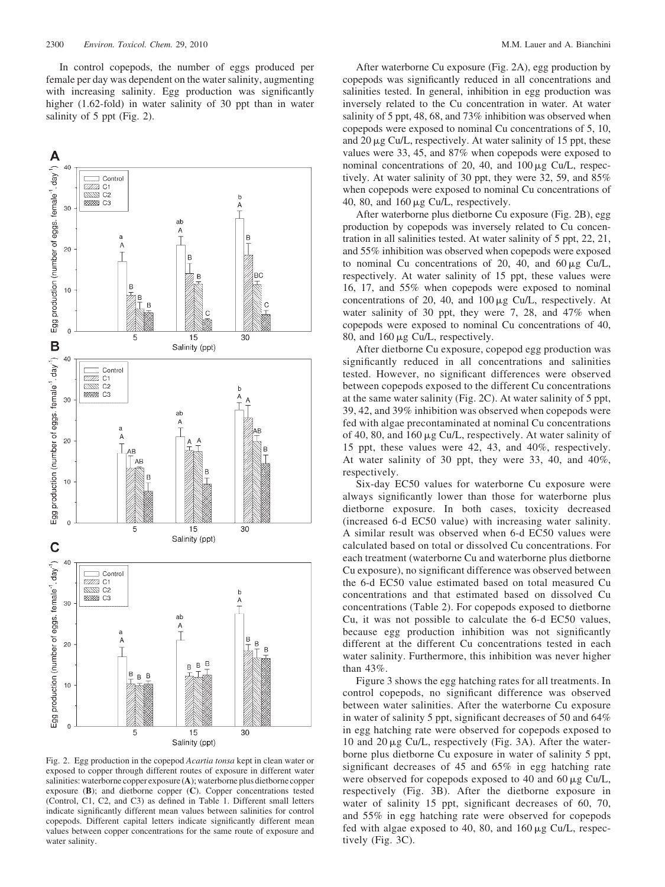In control copepods, the number of eggs produced per female per day was dependent on the water salinity, augmenting with increasing salinity. Egg production was significantly higher (1.62-fold) in water salinity of 30 ppt than in water salinity of 5 ppt (Fig. 2).



Fig. 2. Egg production in the copepod Acartia tonsa kept in clean water or exposed to copper through different routes of exposure in different water salinities: waterborne copper exposure (A); waterborne plus dietborne copper exposure (B); and dietborne copper (C). Copper concentrations tested (Control, C1, C2, and C3) as defined in Table 1. Different small letters indicate significantly different mean values between salinities for control copepods. Different capital letters indicate significantly different mean values between copper concentrations for the same route of exposure and water salinity.

After waterborne Cu exposure (Fig. 2A), egg production by copepods was significantly reduced in all concentrations and salinities tested. In general, inhibition in egg production was inversely related to the Cu concentration in water. At water salinity of 5 ppt, 48, 68, and 73% inhibition was observed when copepods were exposed to nominal Cu concentrations of 5, 10, and  $20 \mu g$  Cu/L, respectively. At water salinity of 15 ppt, these values were 33, 45, and 87% when copepods were exposed to nominal concentrations of 20, 40, and  $100 \mu$ g Cu/L, respectively. At water salinity of 30 ppt, they were 32, 59, and 85% when copepods were exposed to nominal Cu concentrations of 40, 80, and  $160 \mu g$  Cu/L, respectively.

After waterborne plus dietborne Cu exposure (Fig. 2B), egg production by copepods was inversely related to Cu concentration in all salinities tested. At water salinity of 5 ppt, 22, 21, and 55% inhibition was observed when copepods were exposed to nominal Cu concentrations of 20, 40, and 60  $\mu$ g Cu/L, respectively. At water salinity of 15 ppt, these values were 16, 17, and 55% when copepods were exposed to nominal concentrations of 20, 40, and  $100 \mu g$  Cu/L, respectively. At water salinity of 30 ppt, they were 7, 28, and 47% when copepods were exposed to nominal Cu concentrations of 40, 80, and 160  $\mu$ g Cu/L, respectively.

After dietborne Cu exposure, copepod egg production was significantly reduced in all concentrations and salinities tested. However, no significant differences were observed between copepods exposed to the different Cu concentrations at the same water salinity (Fig. 2C). At water salinity of 5 ppt, 39, 42, and 39% inhibition was observed when copepods were fed with algae precontaminated at nominal Cu concentrations of 40, 80, and 160  $\mu$ g Cu/L, respectively. At water salinity of 15 ppt, these values were 42, 43, and 40%, respectively. At water salinity of 30 ppt, they were 33, 40, and 40%, respectively.

Six-day EC50 values for waterborne Cu exposure were always significantly lower than those for waterborne plus dietborne exposure. In both cases, toxicity decreased (increased 6-d EC50 value) with increasing water salinity. A similar result was observed when 6-d EC50 values were calculated based on total or dissolved Cu concentrations. For each treatment (waterborne Cu and waterborne plus dietborne Cu exposure), no significant difference was observed between the 6-d EC50 value estimated based on total measured Cu concentrations and that estimated based on dissolved Cu concentrations (Table 2). For copepods exposed to dietborne Cu, it was not possible to calculate the 6-d EC50 values, because egg production inhibition was not significantly different at the different Cu concentrations tested in each water salinity. Furthermore, this inhibition was never higher than 43%.

Figure 3 shows the egg hatching rates for all treatments. In control copepods, no significant difference was observed between water salinities. After the waterborne Cu exposure in water of salinity 5 ppt, significant decreases of 50 and 64% in egg hatching rate were observed for copepods exposed to 10 and 20  $\mu$ g Cu/L, respectively (Fig. 3A). After the waterborne plus dietborne Cu exposure in water of salinity 5 ppt, significant decreases of 45 and 65% in egg hatching rate were observed for copepods exposed to 40 and 60  $\mu$ g Cu/L, respectively (Fig. 3B). After the dietborne exposure in water of salinity 15 ppt, significant decreases of 60, 70, and 55% in egg hatching rate were observed for copepods fed with algae exposed to 40, 80, and  $160 \mu$ g Cu/L, respectively (Fig. 3C).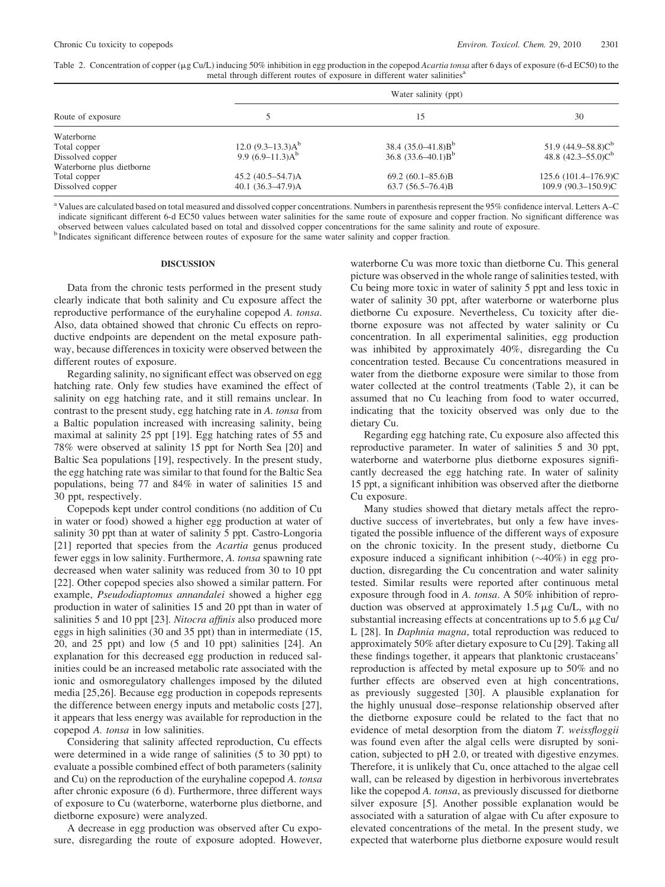Table 2. Concentration of copper ( $\mu$ g Cu/L) inducing 50% inhibition in egg production in the copepod Acartia tonsa after 6 days of exposure (6-d EC50) to the metal through different routes of exposure in different water salinities<sup>a</sup>

|                           |                                 | Water salinity (ppt)    |                                       |  |  |  |
|---------------------------|---------------------------------|-------------------------|---------------------------------------|--|--|--|
| Route of exposure         |                                 | 15                      | 30                                    |  |  |  |
| Waterborne                |                                 |                         |                                       |  |  |  |
| Total copper              | 12.0 $(9.3-13.3)A^{b}$          | 38.4 $(35.0 - 41.8)B^b$ | 51.9 $(44.9-58.8)C^b$                 |  |  |  |
| Dissolved copper          | 9.9 $(6.9-11.3)$ A <sup>b</sup> | 36.8 $(33.6 - 40.1)B^b$ | 48.8 $(42.3-55.0)\text{C}^{\text{b}}$ |  |  |  |
| Waterborne plus dietborne |                                 |                         |                                       |  |  |  |
| Total copper              | $45.2 (40.5 - 54.7)$ A          | $69.2 (60.1 - 85.6)B$   | 125.6 (101.4-176.9)C                  |  |  |  |
| Dissolved copper          | $40.1(36.3-47.9)A$              | $63.7 (56.5 - 76.4)B$   | $109.9(90.3-150.9)C$                  |  |  |  |

<sup>a</sup> Values are calculated based on total measured and dissolved copper concentrations. Numbers in parenthesis represent the 95% confidence interval. Letters A–C indicate significant different 6-d EC50 values between water salinities for the same route of exposure and copper fraction. No significant difference was observed between values calculated based on total and dissolved copper concentrations for the same salinity and route of exposure.

<sup>b</sup> Indicates significant difference between routes of exposure for the same water salinity and copper fraction.

#### **DISCUSSION**

Data from the chronic tests performed in the present study clearly indicate that both salinity and Cu exposure affect the reproductive performance of the euryhaline copepod A. tonsa. Also, data obtained showed that chronic Cu effects on reproductive endpoints are dependent on the metal exposure pathway, because differences in toxicity were observed between the different routes of exposure.

Regarding salinity, no significant effect was observed on egg hatching rate. Only few studies have examined the effect of salinity on egg hatching rate, and it still remains unclear. In contrast to the present study, egg hatching rate in A. tonsa from a Baltic population increased with increasing salinity, being maximal at salinity 25 ppt [19]. Egg hatching rates of 55 and 78% were observed at salinity 15 ppt for North Sea [20] and Baltic Sea populations [19], respectively. In the present study, the egg hatching rate was similar to that found for the Baltic Sea populations, being 77 and 84% in water of salinities 15 and 30 ppt, respectively.

Copepods kept under control conditions (no addition of Cu in water or food) showed a higher egg production at water of salinity 30 ppt than at water of salinity 5 ppt. Castro-Longoria [21] reported that species from the Acartia genus produced fewer eggs in low salinity. Furthermore, A. tonsa spawning rate decreased when water salinity was reduced from 30 to 10 ppt [22]. Other copepod species also showed a similar pattern. For example, Pseudodiaptomus annandalei showed a higher egg production in water of salinities 15 and 20 ppt than in water of salinities 5 and 10 ppt [23]. Nitocra affinis also produced more eggs in high salinities (30 and 35 ppt) than in intermediate (15, 20, and 25 ppt) and low (5 and 10 ppt) salinities [24]. An explanation for this decreased egg production in reduced salinities could be an increased metabolic rate associated with the ionic and osmoregulatory challenges imposed by the diluted media [25,26]. Because egg production in copepods represents the difference between energy inputs and metabolic costs [27], it appears that less energy was available for reproduction in the copepod A. tonsa in low salinities.

Considering that salinity affected reproduction, Cu effects were determined in a wide range of salinities (5 to 30 ppt) to evaluate a possible combined effect of both parameters (salinity and Cu) on the reproduction of the euryhaline copepod A. tonsa after chronic exposure (6 d). Furthermore, three different ways of exposure to Cu (waterborne, waterborne plus dietborne, and dietborne exposure) were analyzed.

A decrease in egg production was observed after Cu exposure, disregarding the route of exposure adopted. However, waterborne Cu was more toxic than dietborne Cu. This general picture was observed in the whole range of salinities tested, with Cu being more toxic in water of salinity 5 ppt and less toxic in water of salinity 30 ppt, after waterborne or waterborne plus dietborne Cu exposure. Nevertheless, Cu toxicity after dietborne exposure was not affected by water salinity or Cu concentration. In all experimental salinities, egg production was inhibited by approximately 40%, disregarding the Cu concentration tested. Because Cu concentrations measured in water from the dietborne exposure were similar to those from water collected at the control treatments (Table 2), it can be assumed that no Cu leaching from food to water occurred, indicating that the toxicity observed was only due to the dietary Cu.

Regarding egg hatching rate, Cu exposure also affected this reproductive parameter. In water of salinities 5 and 30 ppt, waterborne and waterborne plus dietborne exposures significantly decreased the egg hatching rate. In water of salinity 15 ppt, a significant inhibition was observed after the dietborne Cu exposure.

Many studies showed that dietary metals affect the reproductive success of invertebrates, but only a few have investigated the possible influence of the different ways of exposure on the chronic toxicity. In the present study, dietborne Cu exposure induced a significant inhibition  $(\sim40\%)$  in egg production, disregarding the Cu concentration and water salinity tested. Similar results were reported after continuous metal exposure through food in A. tonsa. A 50% inhibition of reproduction was observed at approximately  $1.5 \mu$ g Cu/L, with no substantial increasing effects at concentrations up to 5.6  $\mu$ g Cu/ L [28]. In Daphnia magna, total reproduction was reduced to approximately 50% after dietary exposure to Cu [29]. Taking all these findings together, it appears that planktonic crustaceans' reproduction is affected by metal exposure up to 50% and no further effects are observed even at high concentrations, as previously suggested [30]. A plausible explanation for the highly unusual dose–response relationship observed after the dietborne exposure could be related to the fact that no evidence of metal desorption from the diatom T. weissfloggii was found even after the algal cells were disrupted by sonication, subjected to pH 2.0, or treated with digestive enzymes. Therefore, it is unlikely that Cu, once attached to the algae cell wall, can be released by digestion in herbivorous invertebrates like the copepod A. *tonsa*, as previously discussed for dietborne silver exposure [5]. Another possible explanation would be associated with a saturation of algae with Cu after exposure to elevated concentrations of the metal. In the present study, we expected that waterborne plus dietborne exposure would result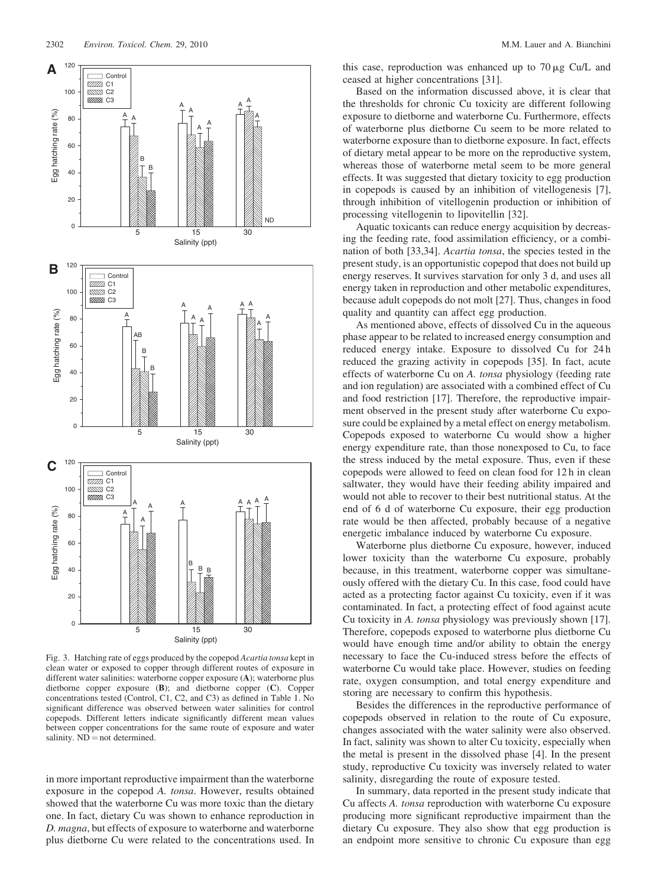

Fig. 3. Hatching rate of eggs produced by the copepod Acartia tonsa kept in clean water or exposed to copper through different routes of exposure in different water salinities: waterborne copper exposure (A); waterborne plus dietborne copper exposure (B); and dietborne copper (C). Copper concentrations tested (Control, C1, C2, and C3) as defined in Table 1. No significant difference was observed between water salinities for control copepods. Different letters indicate significantly different mean values between copper concentrations for the same route of exposure and water salinity.  $ND = not determined$ .

in more important reproductive impairment than the waterborne exposure in the copepod A. tonsa. However, results obtained showed that the waterborne Cu was more toxic than the dietary one. In fact, dietary Cu was shown to enhance reproduction in D. magna, but effects of exposure to waterborne and waterborne plus dietborne Cu were related to the concentrations used. In

this case, reproduction was enhanced up to  $70 \mu g$  Cu/L and ceased at higher concentrations [31].

Based on the information discussed above, it is clear that the thresholds for chronic Cu toxicity are different following exposure to dietborne and waterborne Cu. Furthermore, effects of waterborne plus dietborne Cu seem to be more related to waterborne exposure than to dietborne exposure. In fact, effects of dietary metal appear to be more on the reproductive system, whereas those of waterborne metal seem to be more general effects. It was suggested that dietary toxicity to egg production in copepods is caused by an inhibition of vitellogenesis [7], through inhibition of vitellogenin production or inhibition of processing vitellogenin to lipovitellin [32].

Aquatic toxicants can reduce energy acquisition by decreasing the feeding rate, food assimilation efficiency, or a combination of both [33,34]. Acartia tonsa, the species tested in the present study, is an opportunistic copepod that does not build up energy reserves. It survives starvation for only 3 d, and uses all energy taken in reproduction and other metabolic expenditures, because adult copepods do not molt [27]. Thus, changes in food quality and quantity can affect egg production.

As mentioned above, effects of dissolved Cu in the aqueous phase appear to be related to increased energy consumption and reduced energy intake. Exposure to dissolved Cu for 24 h reduced the grazing activity in copepods [35]. In fact, acute effects of waterborne Cu on A. tonsa physiology (feeding rate and ion regulation) are associated with a combined effect of Cu and food restriction [17]. Therefore, the reproductive impairment observed in the present study after waterborne Cu exposure could be explained by a metal effect on energy metabolism. Copepods exposed to waterborne Cu would show a higher energy expenditure rate, than those nonexposed to Cu, to face the stress induced by the metal exposure. Thus, even if these copepods were allowed to feed on clean food for 12 h in clean saltwater, they would have their feeding ability impaired and would not able to recover to their best nutritional status. At the end of 6 d of waterborne Cu exposure, their egg production rate would be then affected, probably because of a negative energetic imbalance induced by waterborne Cu exposure.

Waterborne plus dietborne Cu exposure, however, induced lower toxicity than the waterborne Cu exposure, probably because, in this treatment, waterborne copper was simultaneously offered with the dietary Cu. In this case, food could have acted as a protecting factor against Cu toxicity, even if it was contaminated. In fact, a protecting effect of food against acute Cu toxicity in A. tonsa physiology was previously shown [17]. Therefore, copepods exposed to waterborne plus dietborne Cu would have enough time and/or ability to obtain the energy necessary to face the Cu-induced stress before the effects of waterborne Cu would take place. However, studies on feeding rate, oxygen consumption, and total energy expenditure and storing are necessary to confirm this hypothesis.

Besides the differences in the reproductive performance of copepods observed in relation to the route of Cu exposure, changes associated with the water salinity were also observed. In fact, salinity was shown to alter Cu toxicity, especially when the metal is present in the dissolved phase [4]. In the present study, reproductive Cu toxicity was inversely related to water salinity, disregarding the route of exposure tested.

In summary, data reported in the present study indicate that Cu affects A. tonsa reproduction with waterborne Cu exposure producing more significant reproductive impairment than the dietary Cu exposure. They also show that egg production is an endpoint more sensitive to chronic Cu exposure than egg